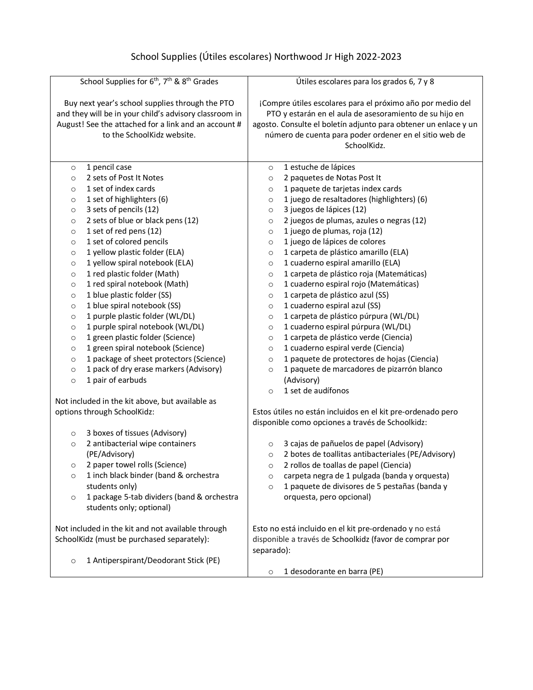## School Supplies (Útiles escolares) Northwood Jr High 2022-2023

| School Supplies for 6 <sup>th</sup> , 7 <sup>th</sup> & 8 <sup>th</sup> Grades                                                                                                                  | Útiles escolares para los grados 6, 7 y 8                                                                                                                                                                                                                         |  |
|-------------------------------------------------------------------------------------------------------------------------------------------------------------------------------------------------|-------------------------------------------------------------------------------------------------------------------------------------------------------------------------------------------------------------------------------------------------------------------|--|
| Buy next year's school supplies through the PTO<br>and they will be in your child's advisory classroom in<br>August! See the attached for a link and an account #<br>to the SchoolKidz website. | ¡Compre útiles escolares para el próximo año por medio del<br>PTO y estarán en el aula de asesoramiento de su hijo en<br>agosto. Consulte el boletín adjunto para obtener un enlace y un<br>número de cuenta para poder ordener en el sitio web de<br>SchoolKidz. |  |
| 1 pencil case                                                                                                                                                                                   | 1 estuche de lápices                                                                                                                                                                                                                                              |  |
| $\circ$                                                                                                                                                                                         | $\circ$                                                                                                                                                                                                                                                           |  |
| 2 sets of Post It Notes                                                                                                                                                                         | 2 paquetes de Notas Post It                                                                                                                                                                                                                                       |  |
| $\circ$                                                                                                                                                                                         | $\circ$                                                                                                                                                                                                                                                           |  |
| 1 set of index cards                                                                                                                                                                            | 1 paquete de tarjetas index cards                                                                                                                                                                                                                                 |  |
| $\circ$                                                                                                                                                                                         | $\circ$                                                                                                                                                                                                                                                           |  |
| 1 set of highlighters (6)                                                                                                                                                                       | 1 juego de resaltadores (highlighters) (6)                                                                                                                                                                                                                        |  |
| $\circ$                                                                                                                                                                                         | $\circ$                                                                                                                                                                                                                                                           |  |
| 3 sets of pencils (12)                                                                                                                                                                          | 3 juegos de lápices (12)                                                                                                                                                                                                                                          |  |
| $\circ$                                                                                                                                                                                         | $\circ$                                                                                                                                                                                                                                                           |  |
| 2 sets of blue or black pens (12)                                                                                                                                                               | 2 juegos de plumas, azules o negras (12)                                                                                                                                                                                                                          |  |
| $\circ$                                                                                                                                                                                         | $\circ$                                                                                                                                                                                                                                                           |  |
| 1 set of red pens (12)                                                                                                                                                                          | 1 juego de plumas, roja (12)                                                                                                                                                                                                                                      |  |
| $\circ$                                                                                                                                                                                         | $\circ$                                                                                                                                                                                                                                                           |  |
| 1 set of colored pencils                                                                                                                                                                        | 1 juego de lápices de colores                                                                                                                                                                                                                                     |  |
| $\circ$                                                                                                                                                                                         | $\circ$                                                                                                                                                                                                                                                           |  |
| 1 yellow plastic folder (ELA)                                                                                                                                                                   | 1 carpeta de plástico amarillo (ELA)                                                                                                                                                                                                                              |  |
| $\circ$                                                                                                                                                                                         | $\circ$                                                                                                                                                                                                                                                           |  |
| 1 yellow spiral notebook (ELA)                                                                                                                                                                  | 1 cuaderno espiral amarillo (ELA)                                                                                                                                                                                                                                 |  |
| $\circ$                                                                                                                                                                                         | $\circ$                                                                                                                                                                                                                                                           |  |
| 1 red plastic folder (Math)                                                                                                                                                                     | 1 carpeta de plástico roja (Matemáticas)                                                                                                                                                                                                                          |  |
| $\circ$                                                                                                                                                                                         | $\circ$                                                                                                                                                                                                                                                           |  |
| 1 red spiral notebook (Math)                                                                                                                                                                    | 1 cuaderno espiral rojo (Matemáticas)                                                                                                                                                                                                                             |  |
| $\circ$                                                                                                                                                                                         | $\circ$                                                                                                                                                                                                                                                           |  |
| 1 blue plastic folder (SS)                                                                                                                                                                      | 1 carpeta de plástico azul (SS)                                                                                                                                                                                                                                   |  |
| $\circ$                                                                                                                                                                                         | $\circ$                                                                                                                                                                                                                                                           |  |
| 1 blue spiral notebook (SS)                                                                                                                                                                     | 1 cuaderno espiral azul (SS)                                                                                                                                                                                                                                      |  |
| $\circ$                                                                                                                                                                                         | $\circ$                                                                                                                                                                                                                                                           |  |
| 1 purple plastic folder (WL/DL)                                                                                                                                                                 | 1 carpeta de plástico púrpura (WL/DL)                                                                                                                                                                                                                             |  |
| $\circ$                                                                                                                                                                                         | $\circ$                                                                                                                                                                                                                                                           |  |
| 1 purple spiral notebook (WL/DL)                                                                                                                                                                | 1 cuaderno espiral púrpura (WL/DL)                                                                                                                                                                                                                                |  |
| $\circ$                                                                                                                                                                                         | $\circ$                                                                                                                                                                                                                                                           |  |
| 1 green plastic folder (Science)                                                                                                                                                                | 1 carpeta de plástico verde (Ciencia)                                                                                                                                                                                                                             |  |
| $\circ$                                                                                                                                                                                         | $\circ$                                                                                                                                                                                                                                                           |  |
| 1 green spiral notebook (Science)                                                                                                                                                               | 1 cuaderno espiral verde (Ciencia)                                                                                                                                                                                                                                |  |
| $\circ$                                                                                                                                                                                         | $\circ$                                                                                                                                                                                                                                                           |  |
| 1 package of sheet protectors (Science)                                                                                                                                                         | 1 paquete de protectores de hojas (Ciencia)                                                                                                                                                                                                                       |  |
| $\circ$                                                                                                                                                                                         | $\circ$                                                                                                                                                                                                                                                           |  |
| 1 pack of dry erase markers (Advisory)                                                                                                                                                          | 1 paquete de marcadores de pizarrón blanco                                                                                                                                                                                                                        |  |
| $\circ$                                                                                                                                                                                         | $\circ$                                                                                                                                                                                                                                                           |  |
| 1 pair of earbuds<br>$\circ$                                                                                                                                                                    | (Advisory)                                                                                                                                                                                                                                                        |  |
|                                                                                                                                                                                                 | 1 set de audífonos<br>$\circ$                                                                                                                                                                                                                                     |  |
| Not included in the kit above, but available as                                                                                                                                                 |                                                                                                                                                                                                                                                                   |  |
| options through SchoolKidz:                                                                                                                                                                     | Estos útiles no están incluidos en el kit pre-ordenado pero<br>disponible como opciones a través de Schoolkidz:                                                                                                                                                   |  |
| 3 boxes of tissues (Advisory)<br>$\circ$                                                                                                                                                        |                                                                                                                                                                                                                                                                   |  |
| 2 antibacterial wipe containers                                                                                                                                                                 | 3 cajas de pañuelos de papel (Advisory)                                                                                                                                                                                                                           |  |
| $\circ$                                                                                                                                                                                         | $\circ$                                                                                                                                                                                                                                                           |  |
| (PE/Advisory)                                                                                                                                                                                   | 2 botes de toallitas antibacteriales (PE/Advisory)<br>$\circ$                                                                                                                                                                                                     |  |
| 2 paper towel rolls (Science)                                                                                                                                                                   | 2 rollos de toallas de papel (Ciencia)                                                                                                                                                                                                                            |  |
| O                                                                                                                                                                                               | O                                                                                                                                                                                                                                                                 |  |
| 1 inch black binder (band & orchestra                                                                                                                                                           | carpeta negra de 1 pulgada (banda y orquesta)                                                                                                                                                                                                                     |  |
| $\circ$                                                                                                                                                                                         | $\circ$                                                                                                                                                                                                                                                           |  |
| students only)                                                                                                                                                                                  | 1 paquete de divisores de 5 pestañas (banda y<br>$\circ$                                                                                                                                                                                                          |  |
| 1 package 5-tab dividers (band & orchestra<br>$\circ$                                                                                                                                           | orquesta, pero opcional)                                                                                                                                                                                                                                          |  |
| students only; optional)                                                                                                                                                                        |                                                                                                                                                                                                                                                                   |  |
|                                                                                                                                                                                                 |                                                                                                                                                                                                                                                                   |  |
| Not included in the kit and not available through<br>Esto no está incluido en el kit pre-ordenado y no está                                                                                     |                                                                                                                                                                                                                                                                   |  |
| SchoolKidz (must be purchased separately):                                                                                                                                                      | disponible a través de Schoolkidz (favor de comprar por                                                                                                                                                                                                           |  |
| separado):                                                                                                                                                                                      |                                                                                                                                                                                                                                                                   |  |
| 1 Antiperspirant/Deodorant Stick (PE)<br>$\circ$                                                                                                                                                |                                                                                                                                                                                                                                                                   |  |
|                                                                                                                                                                                                 | 1 desodorante en barra (PE)<br>$\circ$                                                                                                                                                                                                                            |  |
|                                                                                                                                                                                                 |                                                                                                                                                                                                                                                                   |  |